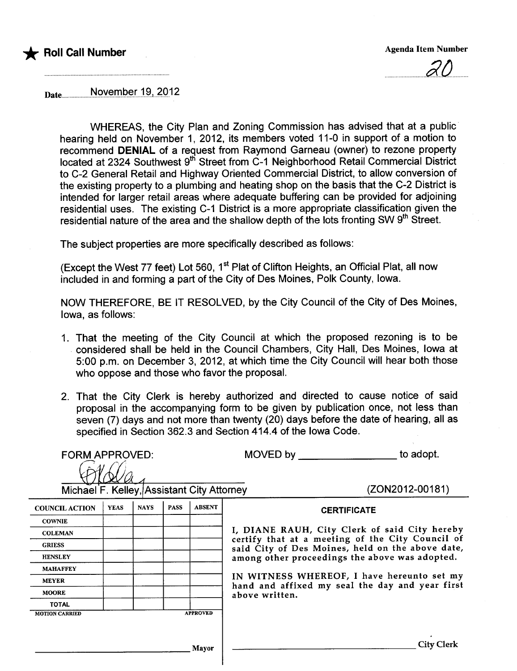

 $\overline{\mathcal{U}}$ 

Date.......uuuuuu...N9.y.amp.arJ.S.lu7..Q.12

WHEREAS, the City Plan and Zoning Commission has advised that at a public hearing held on November 1, 2012, its members voted 11-0 in support of a motion to recommend DENIAL of a request from Raymond Garneau (owner) to rezone property located at 2324 Southwest 9<sup>th</sup> Street from C-1 Neighborhood Retail Commercial District to C-2 General Retail and Highway Oriented Commercial District, to allow conversion of the existing property to a plumbing and heating shop on the basis that the C-2 District is intended for larger retail areas where adequate buffering can be provided for adjoining residential uses. The existing C-1 District is a more appropriate classification given the residential nature of the area and the shallow depth of the lots fronting SW 9<sup>th</sup> Street.

The subject properties are more specifically described as follows:

(Except the West 77 feet) Lot 560, 1<sup>st</sup> Plat of Clifton Heights, an Official Plat, all now included in and forming a part of the City of Des Moines, Polk County, Iowa.

NOW THEREFORE, BE IT RESOLVED, by the City Council of the City of Des Moines, Iowa, as follows:

- 1. That the meeting of the City Council at which the proposed rezoning is to be . considered shall be held in the Council Chambers, City Hall, Des Moines, Iowa at 5:00 p.m. on December 3, 2012, at which time the City Council will hear both those who oppose and those who favor the proposal.
- 2. That the City Clerk is hereby authorized and directed to cause notice of said proposal in the accompanying form to be given by publication once, not less than seven (7) days and not more than twenty (20) days before the date of hearing, all as specified in Section 362.3 and Section 414.4 of the Iowa Code.

|                                            | <b>FORM APPROVED:</b> |             |             |               | to adopt.<br>MOVED by                                                                                |
|--------------------------------------------|-----------------------|-------------|-------------|---------------|------------------------------------------------------------------------------------------------------|
|                                            |                       |             |             |               |                                                                                                      |
| Michael F. Kelley, Assistant City Attorney |                       |             |             |               | (ZON2012-00181)                                                                                      |
| <b>COUNCIL ACTION</b>                      | <b>YEAS</b>           | <b>NAYS</b> | <b>PASS</b> | <b>ABSENT</b> | <b>CERTIFICATE</b>                                                                                   |
| <b>COWNIE</b>                              |                       |             |             |               |                                                                                                      |
| <b>COLEMAN</b>                             |                       |             |             |               | I, DIANE RAUH, City Clerk of said City hereby                                                        |
| <b>GRIESS</b>                              |                       |             |             |               | certify that at a meeting of the City Council of<br>said City of Des Moines, held on the above date, |
| <b>HENSLEY</b>                             |                       |             |             |               | among other proceedings the above was adopted.                                                       |
| <b>MAHAFFEY</b>                            |                       |             |             |               |                                                                                                      |
| <b>MEYER</b>                               |                       |             |             |               | IN WITNESS WHEREOF, I have hereunto set my<br>hand and affixed my seal the day and year first        |
| <b>MOORE</b>                               |                       |             |             |               | above written.                                                                                       |
| <b>TOTAL</b>                               |                       |             |             |               |                                                                                                      |
| <b>APPROVED</b><br><b>MOTION CARRIED</b>   |                       |             |             |               |                                                                                                      |
|                                            |                       |             |             |               |                                                                                                      |
|                                            |                       |             |             | Mayor         | City Clerk                                                                                           |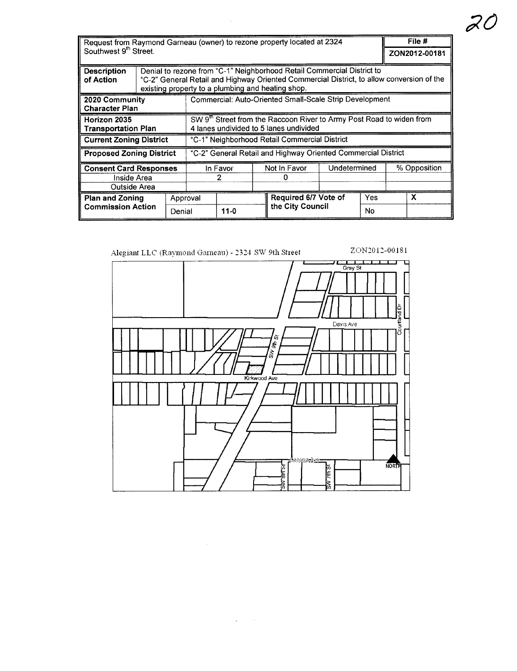| Request from Raymond Garneau (owner) to rezone property located at 2324<br>Southwest 9 <sup>th</sup> Street. |                    |                                                                                                                                                                                                                          |                                                                                                                            |          |              |                      |              |     | File #        |   |
|--------------------------------------------------------------------------------------------------------------|--------------------|--------------------------------------------------------------------------------------------------------------------------------------------------------------------------------------------------------------------------|----------------------------------------------------------------------------------------------------------------------------|----------|--------------|----------------------|--------------|-----|---------------|---|
|                                                                                                              |                    |                                                                                                                                                                                                                          |                                                                                                                            |          |              |                      |              |     | ZON2012-00181 |   |
| <b>Description</b><br>of Action                                                                              |                    | Denial to rezone from "C-1" Neighborhood Retail Commercial District to<br>"C-2" General Retail and Highway Oriented Commercial District, to allow conversion of the<br>existing property to a plumbing and heating shop. |                                                                                                                            |          |              |                      |              |     |               |   |
| 2020 Community<br><b>Character Plan</b>                                                                      |                    |                                                                                                                                                                                                                          | Commercial: Auto-Oriented Small-Scale Strip Development                                                                    |          |              |                      |              |     |               |   |
| Horizon 2035<br><b>Transportation Plan</b>                                                                   |                    |                                                                                                                                                                                                                          | SW 9 <sup>th</sup> Street from the Raccoon River to Army Post Road to widen from<br>4 lanes undivided to 5 lanes undivided |          |              |                      |              |     |               |   |
| <b>Current Zoning District</b>                                                                               |                    |                                                                                                                                                                                                                          | "C-1" Neighborhood Retail Commercial District                                                                              |          |              |                      |              |     |               |   |
| <b>Proposed Zoning District</b>                                                                              |                    |                                                                                                                                                                                                                          | "C-2" General Retail and Highway Oriented Commercial District                                                              |          |              |                      |              |     |               |   |
| <b>Consent Card Responses</b>                                                                                |                    |                                                                                                                                                                                                                          | In Favor                                                                                                                   |          | Not In Favor |                      | Undetermined |     | % Opposition  |   |
| Inside Area                                                                                                  |                    |                                                                                                                                                                                                                          | 2                                                                                                                          |          | 0            |                      |              |     |               |   |
| Outside Area                                                                                                 |                    |                                                                                                                                                                                                                          |                                                                                                                            |          |              |                      |              |     |               |   |
| <b>Plan and Zoning</b>                                                                                       | Approval<br>Denial |                                                                                                                                                                                                                          |                                                                                                                            |          |              | Required 6/7 Vote of |              | Yes |               | X |
| <b>Commission Action</b>                                                                                     |                    |                                                                                                                                                                                                                          |                                                                                                                            | $11 - 0$ |              | the City Council     |              | No  |               |   |

 $\hat{\mathcal{A}}$ 



 $\mathcal{L}(\mathbf{q})$  ,  $\mathcal{L}(\mathbf{q})$ 

 $Z\zeta$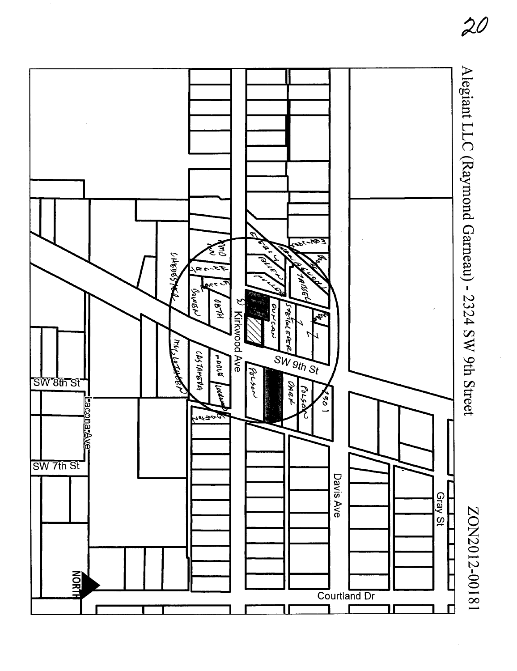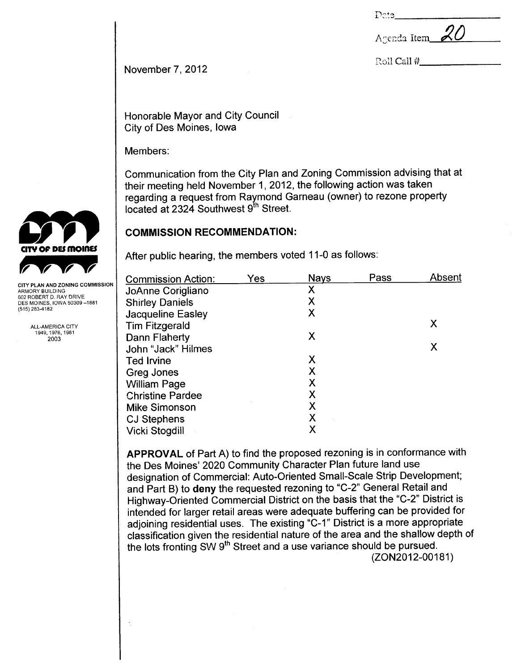|--|

Agenda Item

Roll Call #

November 7,2012

Honorable Mayor and City Council City of Des Moines, Iowa

Members:

Communication from the City Plan and Zoning Commission advising that at their meeting held November 1,2012, the following action was taken regarding a request from Raymond Garneau (owner) to rezone property located at 2324 Southwest 9<sup>th</sup> Street.

# COMMISSION RECOMMENDATION:

After public hearing, the members voted 11-0 as follows:

| <b>Commission Action:</b> | Yes | <b>Nays</b> | Pass | Absent |
|---------------------------|-----|-------------|------|--------|
| JoAnne Corigliano         |     | Χ           |      |        |
| <b>Shirley Daniels</b>    |     | X           |      |        |
| Jacqueline Easley         |     | X           |      |        |
| <b>Tim Fitzgerald</b>     |     |             |      | Χ      |
| Dann Flaherty             |     | X           |      |        |
| John "Jack" Hilmes        |     |             |      | Χ      |
| <b>Ted Irvine</b>         |     | Χ           |      |        |
| Greg Jones                |     | X           |      |        |
| <b>William Page</b>       |     | X           |      |        |
| <b>Christine Pardee</b>   |     | X           |      |        |
| <b>Mike Simonson</b>      |     | X           |      |        |
| <b>CJ Stephens</b>        |     | X           |      |        |
| Vicki Stogdill            |     | Χ           |      |        |
|                           |     |             |      |        |

APPROVAL of Part A) to find the proposed rezoning is in conformance with the Des Moines' 2020 Community Character Plan future land use designation of Commercial: Auto-Oriented Small-Scale Strip Development; and Part B) to deny the requested rezoning to "C-2" General Retail and Highway-Oriented Commercial District on the basis that the "C-2" District is intended for larger retail areas were adequate buffering can be provided for adjoining residential uses. The existing "C-1" District is a more appropriate classification given the residential nature of the area and the shallow depth of the lots fronting SW 9<sup>th</sup> Street and a use variance should be pursued. (ZON2012-00181 )



ARMORY BUILDING 602 ROBERT D. RAY DRIVE DES MOINES, IOWA 50309 -1881 (515) 283-4182

> ALL-AMERICA CITY 1949,1976,1981 2003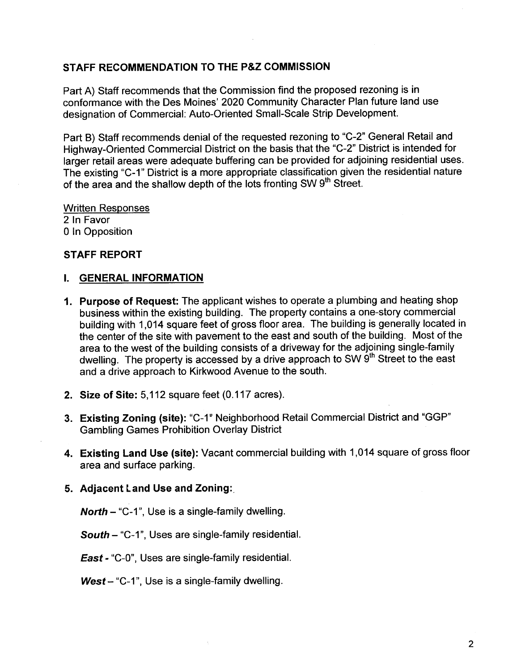# STAFF RECOMMENDATION TO THE P&Z COMMISSION

Part A) Staff recommends that the Commission find the proposed rezoning is in conformance with the Des Moines' 2020 Community Character Plan future land use designation of Commercial: Auto-Oriented Small-Scale Strip Development.

Part B) Staff recommends denial of the requested rezoning to "C-2" General Retail and Highway-Oriented Commercial District on the basis that the "C-2" District is intended for larger retail areas were adequate buffering can be provided for adjoining residential uses. The existing "C-1" District is a more appropriate classification given the residential nature of the area and the shallow depth of the lots fronting SW 9<sup>th</sup> Street.

Written Responses 2 In Favor o In Opposition

#### STAFF REPORT

#### I. GENERAL INFORMATION

- 1. Purpose of Request: The applicant wishes to operate a plumbing and heating shop business within the existing building. The property contains a one-story commercial building with 1,014 square feet of gross floor area. The building is generally located in the center of the site with pavement to the east and south of the building. Most of the area to the west of the building consists of a driveway for the adjoining single-family dwelling. The property is accessed by a drive approach to SW 9<sup>th</sup> Street to the east and a drive approach to Kirkwood Avenue to the south.
- 2. Size of Site: 5,112 square feet (0.117 acres).
- 3. Existing Zoning (site): "C-1" Neighborhood Retail Commercial District and "GGP" Gambling Games Prohibition Overlay District
- 4. Existing Land Use (site): Vacant commercial building with 1 ,014 square of gross floor area and surface parking.

#### 5. Adjacent Land Use and Zoning:.

**North - "C-1", Use is a single-family dwelling.** 

South - "C-1", Uses are single-family residential.

East - "C-O", Uses are single-family residentiaL.

 $West - "C-1"$ , Use is a single-family dwelling.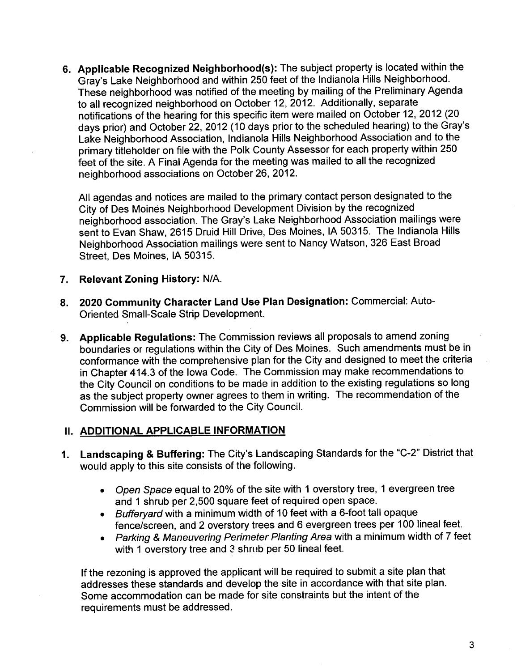6. Applicable Recognized Neighborhood(s): The subject property is located within the Gray's Lake Neighborhood and within 250 feet of the Indianola Hills Neighborhood. These neighborhood was notified of the meeting by mailing of the Preliminary Agenda to all recognized neighborhood on October 12, 2012. Additionally, separate notifications of the hearing for this specific item were mailed on October 12, 2012 (20 days prior) and October 22,2012 (10 days prior to the scheduled hearing) to the Gray's Lake Neighborhood Association, Indianola Hills Neighborhood Association and to the primary titleholder on file with the Polk County Assessor for each property within 250 feet of the site. A Final Agenda for the meeting was mailed to all the recognized neighborhood associations on October 26, 2012.

All agendas and notices are mailed to the primary contact person designated to the City of Des Moines Neighborhood Development Division by the recognized neighborhood association. The Gray's Lake Neighborhood Association mailings were sent to Evan Shaw, 2615 Druid Hill Drive, Des Moines, IA 50315. The Indianola Hills Neighborhood Association mailings were sent to Nancy Watson, 326 East Broad Street, Des Moines, IA 50315.

- 7. Relevant Zoning History: N/A.
- 8. 2020 Community Character Land Use Plan Designation: Commercial: Auto-Oriented Small-Scale Strip Development.
- 9. Applicable Regulations: The Commission reviews all proposals to amend zoning boundaries or regulations within the City of Des Moines. Such amendments must be in conformance with the comprehensive plan for the City and designed to meet the criteria in Chapter 414.3 of the Iowa Code. The Commission may make recommendations to the City Council on conditions to be made in addition to the existing regulations so long as the subject property owner agrees to them in writing. The recommendation of the Commission wil be forwarded to the City CounciL.

# II. ADDITIONAL APPLICABLE INFORMATION

- 1. Landscaping & Buffering: The City's Landscaping Standards for the "C-2" District that would apply to this site consists of the following.
	- . Open Space equal to 20% of the site with 1 overstory tree, 1 evergreen tree and 1 shrub per 2,500 square feet of required open space.
	- . Bufferyard with a minimum width of 10 feet with a 6-foot tall opaque fence/screen, and 2 overstory trees and 6 evergreen trees per 100 lineal feet.
	- . Parking & Maneuvering Perimeter Planting Area with a minimum width of 7 feet with 1 overstory tree and 3 shrub per 50 lineal feet.

If the rezoning is approved the applicant will be required to submit a site plan that addresses these standards and develop the site in accordance with that site plan. Some accommodation can be made for site constraints but the intent of the requirements must be addressed.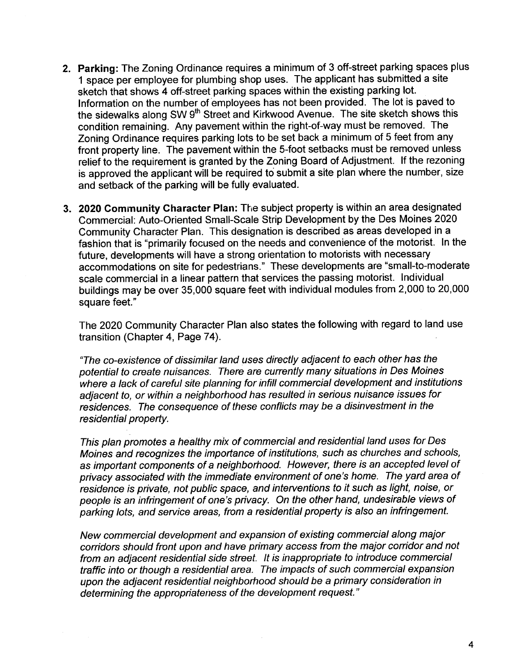- 2. Parking: The Zoning Ordinance requires a minimum of 3 off-street parking spaces plus 1 space per employee for plumbing shop uses. The applicant has submitted a site sketch that shows 4 off-street parking spaces within the existing parking lot. Information on the number of employees has not been provided. The lot is paved to the sidewalks along SW 9<sup>th</sup> Street and Kirkwood Avenue. The site sketch shows this condition remaining. Any pavement within the right-of-way must be removed. The Zoning Ordinance requires parking lots to be set back a minimum of 5 feet from any front property line. The pavement within the 5-foot setbacks must be removed unless relief to the requirement is granted by the Zoning Board of Adjustment. If the rezoning is approved the applicant will be required to submit a site plan where the number, size and setback of the parking wil be fully evaluated.
- 3. 2020 Community Character Plan: The subject property is within an area designated Commercial: Auto-Oriented Small-Scale Strip Development by the Des Moines 2020 Community Character Plan. This designation is described as areas developed in a fashion that is "primarily focused on the needs and convenience of the motorist. In the future, developments will have a strong orientation to motorists with necessary accommodations on site for pedestrians." These developments are "small-to-moderate scale commercial in a linear pattern that services the passing motorist. Individual buildings may be over 35,000 square feet with individual modules from 2,000 to 20,000 square feet."

The 2020 Community Character Plan also states the following with regard to land use transition (Chapter 4, Page 74).

"The co-existence of dissimilar land uses directly adjacent to each other has the potential to create nuisances. There are currently many situations in Des Moines where a lack of careful site planning for infill commercial development and institutions adjacent to, or within a neighborhood has resulted in serious nuisance issues for residences. The consequence of these conflicts may be a disinvestment in the residential property.

This plan promotes a healthy mix of commercial and residential land uses for Des Moines and recognizes the importance of institutions, such as churches and schools, as important components of a neighborhood. However, there is an accepted level of privacy associated with the immediate environment of one's home. The yard area of residence is private, not public space, and interventions to it such as light, noise, or people is an infringement of one's privacy. On the other hand, undesirable views of parking lots, and service areas, from a residential property is also an infringement.

New commercial development and expansion of existing commercial along major corridors should front upon and have primary access from the major corridor and not from an adjacent residential side street. It is inappropriate to introduce commercial traffic into or though a residential area. The impacts of such commercial expansion upon the adjacent residential neighborhood should be a primary consideration in determining the appropriateness of the development request."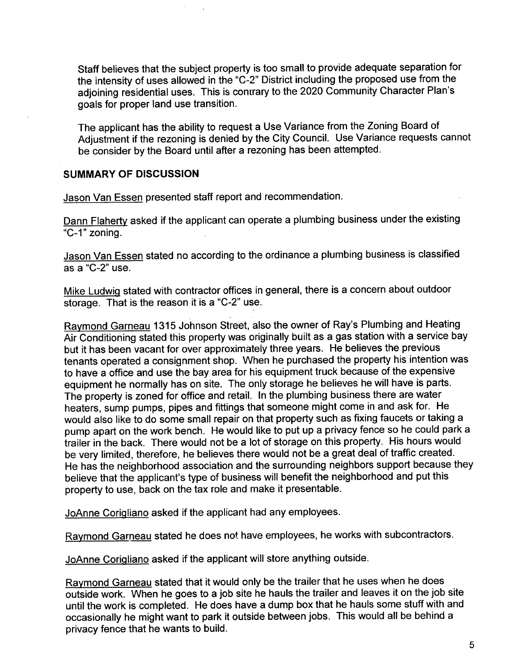Staff believes that the subject property is too small to provide adequate separation for the intensity of uses allowed in the "C-2" District including the proposed use from the adjoining residential uses. This is contrary to the 2020 Community Character Plan's goals for proper land use transition.

The applicant has the ability to request a Use Variance from the Zoning Board of Adjustment if the rezoning is denied by the City Council. Use Variance requests cannot be consider by the Board until after a rezoning has been attempted.

#### SUMMARY OF DISCUSSION

Jason Van Essen presented staff report and recommendation.

Dann Flaherty asked if the applicant can operate a plumbing business under the existing "C-1" zoning.

Jason Van Essen stated no according to the ordinance a plumbing business is classified as a "C-2" use.

Mike Ludwiq stated with contractor offices in general, there is a concern about outdoor storage. That is the reason it is a "C-2" use.

Raymond Garneau 1315 Johnson Street, also the owner of Ray's Plumbing and Heating Air Conditioning stated this property was originally built as a gas station with a service bay but it has been vacant for over approximately three years. He believes the previous tenants operated a consignment shop. When he purchased the property his intention was to have a office and use the bay area for his equipment truck because of the expensive equipment he normally has on site. The only storage he believes he will have is parts. The property is zoned for office and retail. In the plumbing business there are water heaters, sump pumps, pipes and fittings that someoné might come in and ask for. He would also like to do some small repair on that property such as fixing faucets or taking a pump apart on the work bench. He would like to put up a privacy fence so he could park a trailer in the back. There would not be a lot of storage on this property. His hours would be very limited, therefore, he believes there would not be a great deal of traffic created. He has the neighborhood association and the surrounding neighbors support because they believe that the applicant's type of business wil benefit the neighborhood and put this property to use, back on the tax role and make it presentable.

JoAnne Corigliano asked if the applicant had any employees.

Raymond Garneau stated he does not have employees, he works with subcontractors.

JoAnne Corigliano asked if the applicant will store anything outside.

Raymond Garneau stated that it would only be the trailer that he uses when he does outside work. When he goes to a job site he hauls the trailer and leaves it on the job site until the work is completed. He does have a dump box that he hauls some stuff with and occasionally he might want to park it outside between jobs. This would all be behind a privacy fence that he wants to build.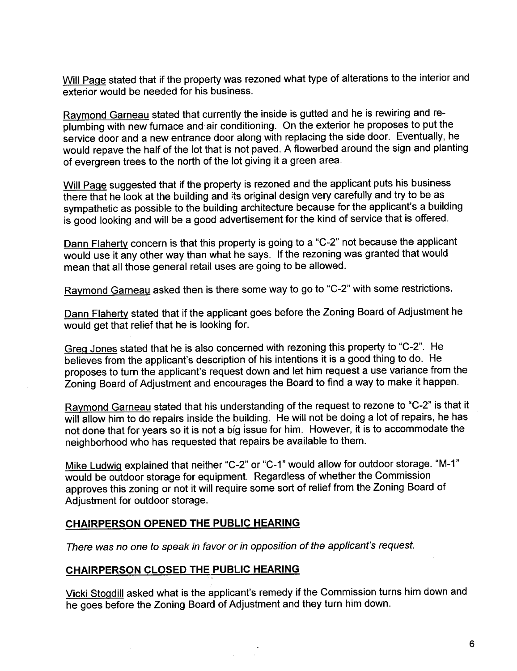Will Page stated that if the property was rezoned what type of alterations to the interior and exterior would be needed for his business.

Raymond Garneau stated that currently the inside is gutted and he is rewiring and replumbing with new furnace and air conditioning. On the exterior he proposes to put the service door and a new entrance door along with replacing the side door. Eventually, he would repave the half of the lot that is not paved. A flowerbed around the sign and planting of evergreen trees to the north of the lot giving it a green area.

Will Page suggested that if the property is rezoned and the applicant puts his business there that he look at the building and its original design very carefully and try to be as sympathetic as possible to the building architecture because for the applicant's a building is good looking and will be a good advertisement for the kind of service that is offered.

Dann Flaherty concern is that this property is going to a "C-2" not because the applicant would use it any other way than what he says. If the rezoning was granted that would mean that all those general retail uses are going to be allowed.

Raymond Garneau asked then is there some way to go to "C-2" with some restrictions.

Dann Flaherty stated that if the applicant goes before the Zoning Board of Adjustment he would get that relief that he is looking for.

Greg Jones stated that he is also concerned with rezoning this property to "C-2". He believes from the applicant's description of his intentions it is a good thing to do. He proposes to turn the applicant's request down and let him request a use variance from the Zoning Board of Adjustment and encourages the Board to find a way to make it happen.

Raymond Garneau stated that his understanding of the request to rezone to "C-2" is that it will allow him to do repairs inside the building. He will not be doing a lot of repairs, he has not done that for years so it is not a big issue for him. However, it is to accommodate the neighborhood who has requested that repairs be available to them.

Mike Ludwig explained that neither "C-2" or "C-1" would allow for outdoor storage. "M-1" would be outdoor storage for equipment. Regardless of whether the Commission approves this zoning or not it will require some sort of relief from the Zoning Board of Adjustment for outdoor storage.

# CHAIRPERSON OPENED THE PUBLIC HEARING

There was no one to speak in favor or in opposition of the applicant's request.

# CHAIRPERSON CLOSED THE PUBLIC HEARING

Vicki Stogdill asked what is the applicant's remedy if the Commission turns him down and he goes before the Zoning Board of Adjustment and they turn him down.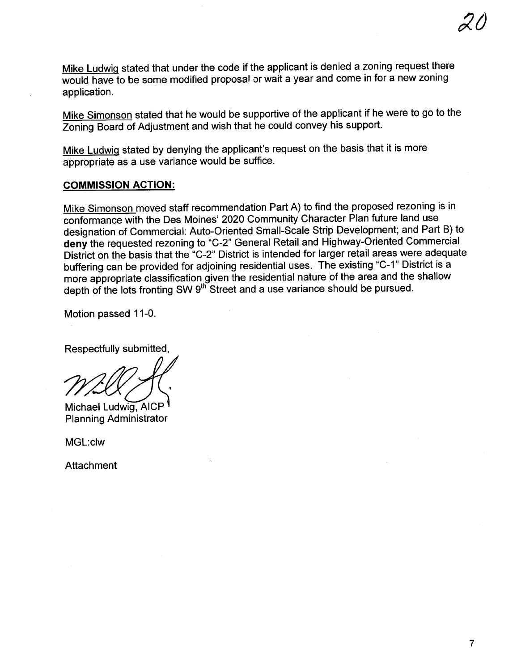Mike Ludwig stated that under the code if the applicant is denied a zoning request there would have to be some modified proposal or wait a year and come in for a new zoning application.

Mike Simonson stated that he would be supportive of the applicant if he were to go to the Zoning Board of Adjustment and wish that he could convey his support.

Mike Ludwig stated by denying the applicant's request on the basis that it is more appropriate as a use variance would be suffice.

#### COMMISSION ACTION:

Mike Simonson moved staff recommendation Part A) to find the proposed rezoning is in conformance with the Des Moines' 2020 Community Character Plan future land use designation of Commercial: Auto-Oriented Small-Scale Strip Development; and Part B) to deny the requested rezoning to "C-2" General Retail and Highway-Oriented Commercial District on the basis that the "C-2" District is intended for larger retail areas were adequate buffering can be provided for adjoining residential uses. The existing "C-1" District is a more appropriate classification given the residential nature of the area and the shallow depth of the lots fronting SW  $9<sup>th</sup>$  Street and a use variance should be pursued.

Motion passed 11-0.

Respectfully submitted,

Michael Ludwig, AICP Planning Administrator

MGL:clw

**Attachment**